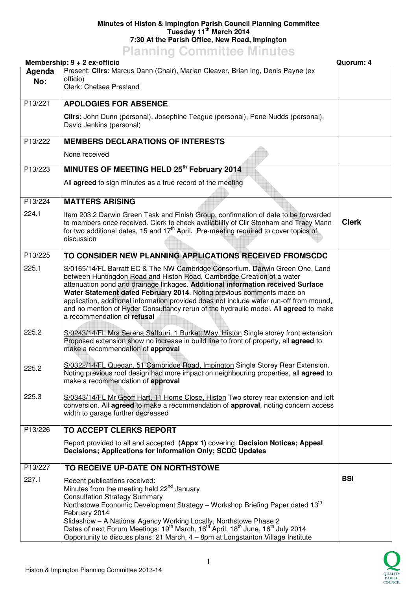## **Minutes of Histon & Impington Parish Council Planning Committee Tuesday 11th March 2014 7:30 At the Parish Office, New Road, Impington**

## **Planning Committee Minutes**

| Membership: 9 + 2 ex-officio<br>Quorum: 4 |                                                                                                                                                                                                                                                                                                                                                                                                                                                                                                                                       |              |  |
|-------------------------------------------|---------------------------------------------------------------------------------------------------------------------------------------------------------------------------------------------------------------------------------------------------------------------------------------------------------------------------------------------------------------------------------------------------------------------------------------------------------------------------------------------------------------------------------------|--------------|--|
| Agenda<br>No:                             | Present: Clirs: Marcus Dann (Chair), Marian Cleaver, Brian Ing, Denis Payne (ex<br>officio)<br>Clerk: Chelsea Presland                                                                                                                                                                                                                                                                                                                                                                                                                |              |  |
| P13/221                                   | <b>APOLOGIES FOR ABSENCE</b>                                                                                                                                                                                                                                                                                                                                                                                                                                                                                                          |              |  |
|                                           | Clirs: John Dunn (personal), Josephine Teague (personal), Pene Nudds (personal),<br>David Jenkins (personal)                                                                                                                                                                                                                                                                                                                                                                                                                          |              |  |
| P13/222                                   | <b>MEMBERS DECLARATIONS OF INTERESTS</b>                                                                                                                                                                                                                                                                                                                                                                                                                                                                                              |              |  |
|                                           | None received                                                                                                                                                                                                                                                                                                                                                                                                                                                                                                                         |              |  |
| P13/223                                   | MINUTES OF MEETING HELD 25th February 2014                                                                                                                                                                                                                                                                                                                                                                                                                                                                                            |              |  |
|                                           | All agreed to sign minutes as a true record of the meeting                                                                                                                                                                                                                                                                                                                                                                                                                                                                            |              |  |
| P13/224                                   | <b>MATTERS ARISING</b>                                                                                                                                                                                                                                                                                                                                                                                                                                                                                                                |              |  |
| 224.1                                     | Item 203.2 Darwin Green Task and Finish Group, confirmation of date to be forwarded<br>to members once received. Clerk to check availability of Cllr Stonham and Tracy Mann<br>for two additional dates, 15 and 17 <sup>th</sup> April. Pre-meeting required to cover topics of<br>discussion                                                                                                                                                                                                                                         | <b>Clerk</b> |  |
| P13/225                                   | TO CONSIDER NEW PLANNING APPLICATIONS RECEIVED FROMSCDC                                                                                                                                                                                                                                                                                                                                                                                                                                                                               |              |  |
| 225.1                                     | S/0165/14/FL Barratt EC & The NW Cambridge Consortium, Darwin Green One, Land<br>between Huntingdon Road and Histon Road, Cambridge Creation of a water<br>attenuation pond and drainage linkages. Additional information received Surface<br>Water Statement dated February 2014. Noting previous comments made on<br>application, additional information provided does not include water run-off from mound,<br>and no mention of Hyder Consultancy rerun of the hydraulic model. All agreed to make<br>a recommendation of refusal |              |  |
| 225.2                                     | S/0243/14/FL Mrs Serena Saffouri, 1 Burkett Way, Histon Single storey front extension<br>Proposed extension show no increase in build line to front of property, all agreed to<br>make a recommendation of approval                                                                                                                                                                                                                                                                                                                   |              |  |
| 225.2                                     | S/0322/14/FL Quegan, 51 Cambridge Road, Impington Single Storey Rear Extension.<br>Noting previous roof design had more impact on neighbouring properties, all <b>agreed</b> to<br>make a recommendation of approval                                                                                                                                                                                                                                                                                                                  |              |  |
| 225.3                                     | S/0343/14/FL Mr Geoff Hart, 11 Home Close, Histon Two storey rear extension and loft<br>conversion. All agreed to make a recommendation of approval, noting concern access<br>width to garage further decreased                                                                                                                                                                                                                                                                                                                       |              |  |
| P13/226                                   | TO ACCEPT CLERKS REPORT                                                                                                                                                                                                                                                                                                                                                                                                                                                                                                               |              |  |
|                                           | Report provided to all and accepted (Appx 1) covering: Decision Notices; Appeal<br>Decisions; Applications for Information Only; SCDC Updates                                                                                                                                                                                                                                                                                                                                                                                         |              |  |
| P13/227                                   | TO RECEIVE UP-DATE ON NORTHSTOWE                                                                                                                                                                                                                                                                                                                                                                                                                                                                                                      |              |  |
| 227.1                                     | Recent publications received:<br>Minutes from the meeting held 22 <sup>nd</sup> January<br><b>Consultation Strategy Summary</b><br>Northstowe Economic Development Strategy - Workshop Briefing Paper dated 13 <sup>th</sup><br>February 2014<br>Slideshow - A National Agency Working Locally, Northstowe Phase 2                                                                                                                                                                                                                    | <b>BSI</b>   |  |
|                                           | Dates of next Forum Meetings: 19 <sup>th</sup> March, 16 <sup>th</sup> April, 18 <sup>th</sup> June, 16 <sup>th</sup> July 2014<br>Opportunity to discuss plans: 21 March, 4 - 8pm at Longstanton Village Institute                                                                                                                                                                                                                                                                                                                   |              |  |